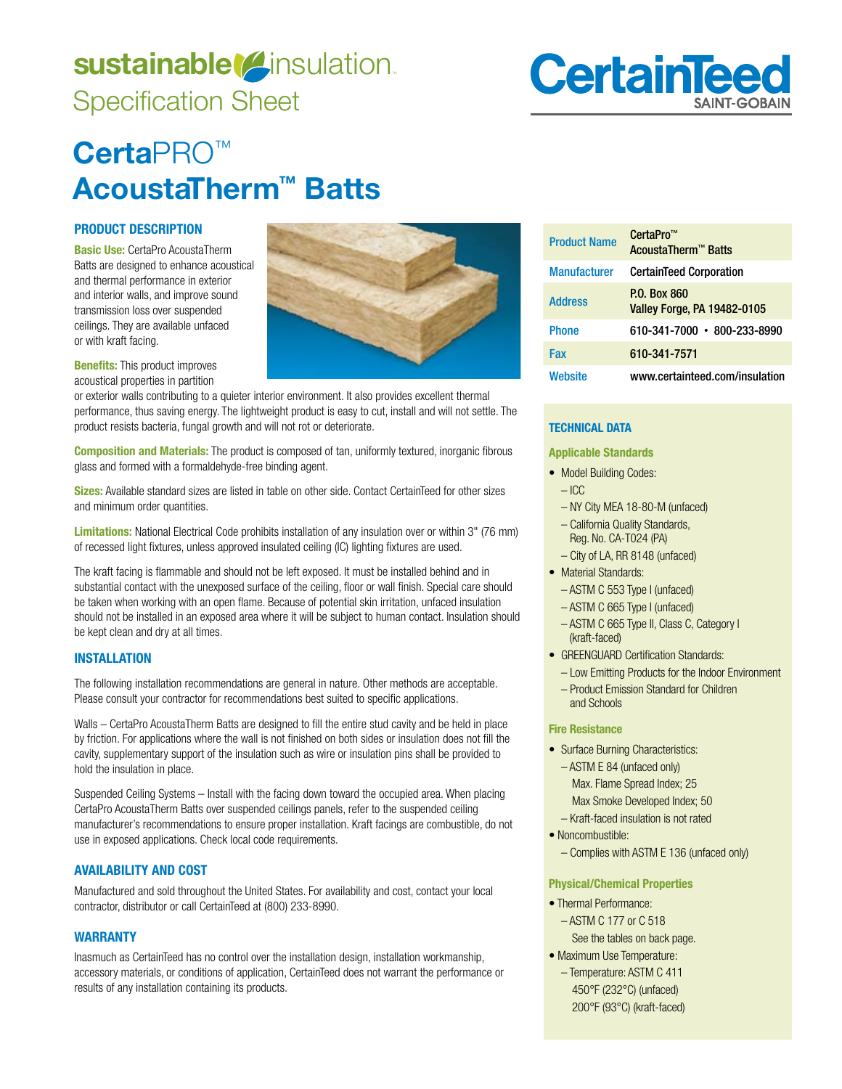# sustainable<sup>(2</sup>insulation. Specification Sheet



# **Certa**PRO™ **AcoustaTherm™ Batts**

# **PRODUCT DESCRIPTION**

**Basic Use:** CertaPro AcoustaTherm Batts are designed to enhance acoustical and thermal performance in exterior and interior walls, and improve sound transmission loss over suspended ceilings. They are available unfaced or with kraft facing.

**Benefits:** This product improves acoustical properties in partition

or exterior walls contributing to a quieter interior environment. It also provides excellent thermal performance, thus saving energy. The lightweight product is easy to cut, install and will not settle. The product resists bacteria, fungal growth and will not rot or deteriorate.

**Composition and Materials:** The product is composed of tan, uniformly textured, inorganic fibrous glass and formed with a formaldehyde-free binding agent.

**Sizes:** Available standard sizes are listed in table on other side. Contact CertainTeed for other sizes and minimum order quantities.

**Limitations:** National Electrical Code prohibits installation of any insulation over or within 3" (76 mm) of recessed light fixtures, unless approved insulated ceiling (IC) lighting fixtures are used.

The kraft facing is flammable and should not be left exposed. It must be installed behind and in substantial contact with the unexposed surface of the ceiling, floor or wall finish. Special care should be taken when working with an open flame. Because of potential skin irritation, unfaced insulation should not be installed in an exposed area where it will be subject to human contact. Insulation should be kept clean and dry at all times.

## **INSTALLATION**

The following installation recommendations are general in nature. Other methods are acceptable. Please consult your contractor for recommendations best suited to specific applications.

Walls – CertaPro AcoustaTherm Batts are designed to fill the entire stud cavity and be held in place by friction. For applications where the wall is not finished on both sides or insulation does not fill the cavity, supplementary support of the insulation such as wire or insulation pins shall be provided to hold the insulation in place.

Suspended Ceiling Systems – Install with the facing down toward the occupied area. When placing CertaPro AcoustaTherm Batts over suspended ceilings panels, refer to the suspended ceiling manufacturer's recommendations to ensure proper installation. Kraft facings are combustible, do not use in exposed applications. Check local code requirements.

## **AVAILABILITY AND COST**

Manufactured and sold throughout the United States. For availability and cost, contact your local contractor, distributor or call CertainTeed at (800) 233-8990.

## **WARRANTY**

Inasmuch as CertainTeed has no control over the installation design, installation workmanship, accessory materials, or conditions of application, CertainTeed does not warrant the performance or results of any installation containing its products.

| <b>Product Name</b> | CertaPro <sup>™</sup><br><b>AcoustaTherm™ Batts</b>       |
|---------------------|-----------------------------------------------------------|
| <b>Manufacturer</b> | <b>CertainTeed Corporation</b>                            |
| <b>Address</b>      | <b>P.O. Box 860</b><br><b>Valley Forge, PA 19482-0105</b> |
| <b>Phone</b>        | 610-341-7000 • 800-233-8990                               |
| Fax                 | 610-341-7571                                              |
| Website             | www.certainteed.com/insulation                            |

# **TECHNICAL DATA**

 $-$  ICC

**Applicable Standards** 

- Model Building Codes:
	- NY City MEA 18-80-M (unfaced)
	- California Quality Standards, Reg. No. CA-T024 (PA)
	- City of LA, RR 8148 (unfaced)
- Material Standards: – ASTM C 553 Type I (unfaced)
	- ASTM C 665 Type I (unfaced)
	- ASTM C 665 Type II, Class C, Category I (kraft-faced)
- GREENGUARD Certification Standards:
	- Low Emitting Products for the Indoor Environment
	- Product Emission Standard for Children and Schools

#### **Fire Resistance**

- Surface Burning Characteristics: – ASTM E 84 (unfaced only) Max. Flame Spread Index; 25 Max Smoke Developed Index; 50 – Kraft-faced insulation is not rated
- Noncombustible:
	- Complies with ASTM E 136 (unfaced only)

#### **Physical/Chemical Properties**

- Thermal Performance: – ASTM C 177 or C 518 See the tables on back page.
- Maximum Use Temperature: - Temperature: ASTM C 411 450°F (232°C) (unfaced) 200°F (93°C) (kraft-faced)